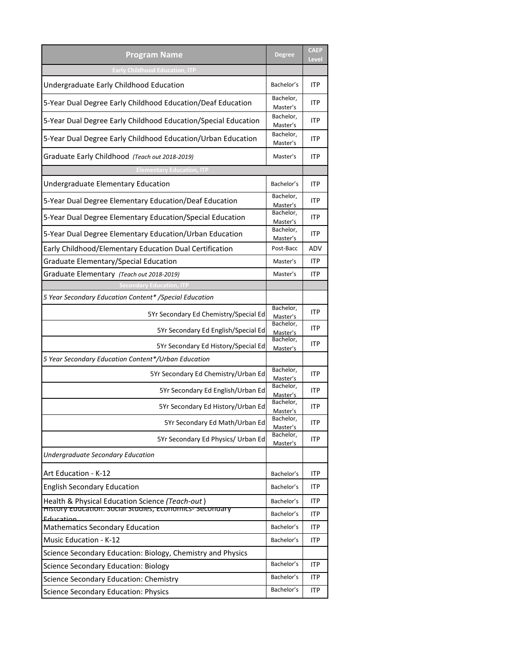| <b>Program Name</b>                                                                                       | <b>Degree</b>            | <b>CAEP</b><br>Level |
|-----------------------------------------------------------------------------------------------------------|--------------------------|----------------------|
| <b>Early Childhood Education, ITP</b>                                                                     |                          |                      |
| Undergraduate Early Childhood Education                                                                   | Bachelor's               | <b>ITP</b>           |
| 5-Year Dual Degree Early Childhood Education/Deaf Education                                               | Bachelor,<br>Master's    | <b>ITP</b>           |
| 5-Year Dual Degree Early Childhood Education/Special Education                                            | Bachelor,<br>Master's    | <b>ITP</b>           |
| 5-Year Dual Degree Early Childhood Education/Urban Education                                              | Bachelor,<br>Master's    | ITP                  |
| Graduate Early Childhood (Teach out 2018-2019)                                                            | Master's                 | <b>ITP</b>           |
| <b>Elementary Education, ITP</b>                                                                          |                          |                      |
| Undergraduate Elementary Education                                                                        | Bachelor's               | <b>ITP</b>           |
| 5-Year Dual Degree Elementary Education/Deaf Education                                                    | Bachelor,<br>Master's    | <b>ITP</b>           |
| 5-Year Dual Degree Elementary Education/Special Education                                                 | Bachelor,<br>Master's    | ITP                  |
| 5-Year Dual Degree Elementary Education/Urban Education                                                   | Bachelor,<br>Master's    | ITP                  |
| Early Childhood/Elementary Education Dual Certification                                                   | Post-Bacc                | ADV                  |
| Graduate Elementary/Special Education                                                                     | Master's                 | <b>ITP</b>           |
| Graduate Elementary (Teach out 2018-2019)                                                                 | Master's                 | <b>ITP</b>           |
| condary Education, ITF                                                                                    |                          |                      |
| 5 Year Secondary Education Content* / Special Education                                                   |                          |                      |
| 5Yr Secondary Ed Chemistry/Special Ed                                                                     | Bachelor,<br>Master's    | <b>ITP</b>           |
| 5Yr Secondary Ed English/Special Ed                                                                       | Bachelor,<br>Master's    | ITP                  |
| 5Yr Secondary Ed History/Special Ed                                                                       | Bachelor,<br>Master's    | <b>ITP</b>           |
| 5 Year Secondary Education Content*/Urban Education                                                       |                          |                      |
| 5Yr Secondary Ed Chemistry/Urban Ed                                                                       | Bachelor,<br>Master's    | <b>ITP</b>           |
| 5Yr Secondary Ed English/Urban Ed                                                                         | Bachelor,<br>Master's    | ITP                  |
| 5Yr Secondary Ed History/Urban Ed                                                                         | Bachelor,<br>Master's    | ITP                  |
| 5Yr Secondary Ed Math/Urban Ed                                                                            | Bachelor,<br>Master's    | <b>ITP</b>           |
| 5Yr Secondary Ed Physics/ Urban Ed                                                                        | Bachelor,<br>Master's    | ITP                  |
| <b>Undergraduate Secondary Education</b>                                                                  |                          |                      |
| Art Education - K-12                                                                                      | Bachelor's               | ITP                  |
| <b>English Secondary Education</b>                                                                        | Bachelor's               | ITP                  |
| Health & Physical Education Science (Teach-out)<br>History Education: Social Studies, Economics-Secondary | Bachelor's               | <b>ITP</b>           |
| Education<br><b>Mathematics Secondary Education</b>                                                       | Bachelor's<br>Bachelor's | ITP<br><b>ITP</b>    |
|                                                                                                           |                          |                      |
| Music Education - K-12<br>Science Secondary Education: Biology, Chemistry and Physics                     | Bachelor's               | ITP                  |
| <b>Science Secondary Education: Biology</b>                                                               | Bachelor's               | <b>ITP</b>           |
| Science Secondary Education: Chemistry                                                                    | Bachelor's               | ITP                  |
| Science Secondary Education: Physics                                                                      | Bachelor's               | <b>ITP</b>           |